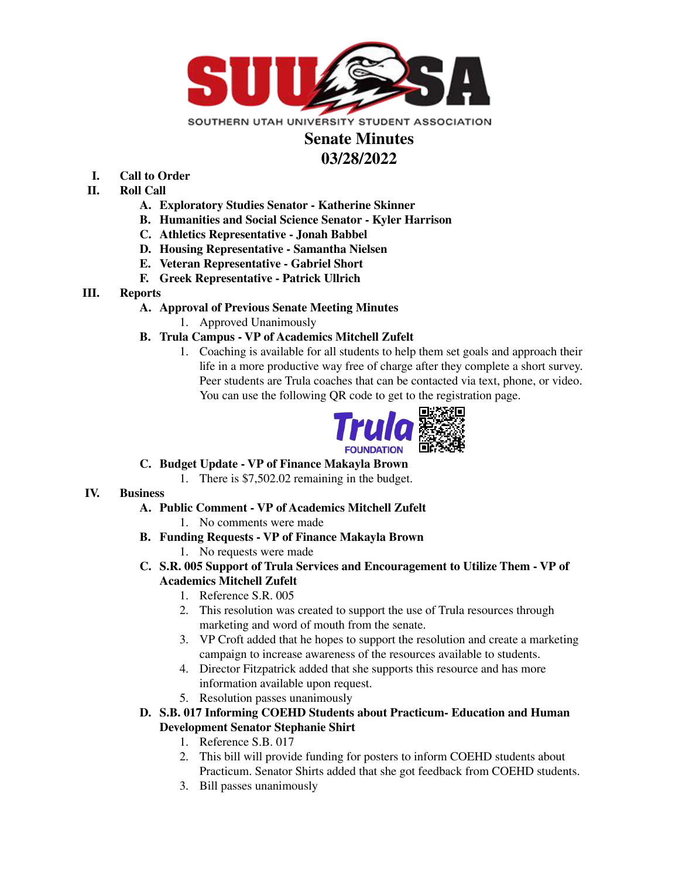

## **Senate Minutes 03/28/2022**

- **I. Call to Order**
- **II. Roll Call**
	- **A. Exploratory Studies Senator - Katherine Skinner**
	- **B. Humanities and Social Science Senator - Kyler Harrison**
	- **C. Athletics Representative - Jonah Babbel**
	- **D. Housing Representative - Samantha Nielsen**
	- **E. Veteran Representative - Gabriel Short**
	- **F. Greek Representative - Patrick Ullrich**
- **III. Reports**
	- **A. Approval of Previous Senate Meeting Minutes**
		- 1. Approved Unanimously

## **B. Trula Campus - VP of Academics Mitchell Zufelt**

1. Coaching is available for all students to help them set goals and approach their life in a more productive way free of charge after they complete a short survey. Peer students are Trula coaches that can be contacted via text, phone, or video. You can use the following QR code to get to the registration page.



- **C. Budget Update - VP of Finance Makayla Brown**
	- 1. There is \$7,502.02 remaining in the budget.

## **IV. Business**

- **A. Public Comment - VP of Academics Mitchell Zufelt**
	- 1. No comments were made
- **B. Funding Requests - VP of Finance Makayla Brown**
	- 1. No requests were made
- **C. S.R. 005 Support of Trula Services and Encouragement to Utilize Them - VP of Academics Mitchell Zufelt**
	- 1. Reference S.R. 005
	- 2. This resolution was created to support the use of Trula resources through marketing and word of mouth from the senate.
	- 3. VP Croft added that he hopes to support the resolution and create a marketing campaign to increase awareness of the resources available to students.
	- 4. Director Fitzpatrick added that she supports this resource and has more information available upon request.
	- 5. Resolution passes unanimously
- **D. S.B. 017 Informing COEHD Students about Practicum- Education and Human Development Senator Stephanie Shirt**
	- 1. Reference S.B. 017
	- 2. This bill will provide funding for posters to inform COEHD students about Practicum. Senator Shirts added that she got feedback from COEHD students.
	- 3. Bill passes unanimously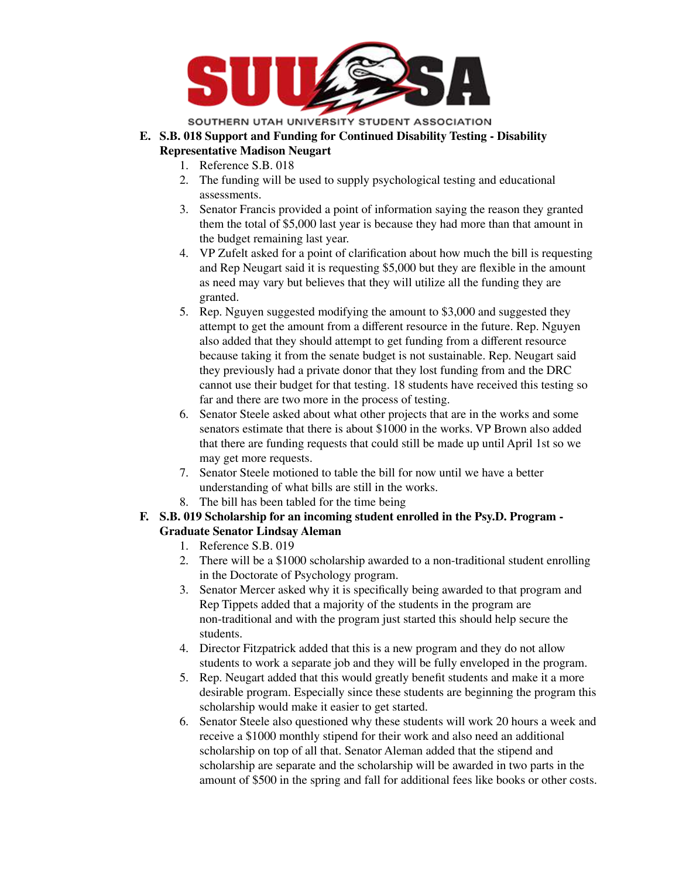

SOUTHERN UTAH UNIVERSITY STUDENT ASSOCIATION

- **E. S.B. 018 Support and Funding for Continued Disability Testing - Disability Representative Madison Neugart**
	- 1. Reference S.B. 018
	- 2. The funding will be used to supply psychological testing and educational assessments.
	- 3. Senator Francis provided a point of information saying the reason they granted them the total of \$5,000 last year is because they had more than that amount in the budget remaining last year.
	- 4. VP Zufelt asked for a point of clarification about how much the bill is requesting and Rep Neugart said it is requesting \$5,000 but they are flexible in the amount as need may vary but believes that they will utilize all the funding they are granted.
	- 5. Rep. Nguyen suggested modifying the amount to \$3,000 and suggested they attempt to get the amount from a different resource in the future. Rep. Nguyen also added that they should attempt to get funding from a different resource because taking it from the senate budget is not sustainable. Rep. Neugart said they previously had a private donor that they lost funding from and the DRC cannot use their budget for that testing. 18 students have received this testing so far and there are two more in the process of testing.
	- 6. Senator Steele asked about what other projects that are in the works and some senators estimate that there is about \$1000 in the works. VP Brown also added that there are funding requests that could still be made up until April 1st so we may get more requests.
	- 7. Senator Steele motioned to table the bill for now until we have a better understanding of what bills are still in the works.
	- 8. The bill has been tabled for the time being
- **F. S.B. 019 Scholarship for an incoming student enrolled in the Psy.D. Program - Graduate Senator Lindsay Aleman**
	- 1. Reference S.B. 019
	- 2. There will be a \$1000 scholarship awarded to a non-traditional student enrolling in the Doctorate of Psychology program.
	- 3. Senator Mercer asked why it is specifically being awarded to that program and Rep Tippets added that a majority of the students in the program are non-traditional and with the program just started this should help secure the students.
	- 4. Director Fitzpatrick added that this is a new program and they do not allow students to work a separate job and they will be fully enveloped in the program.
	- 5. Rep. Neugart added that this would greatly benefit students and make it a more desirable program. Especially since these students are beginning the program this scholarship would make it easier to get started.
	- 6. Senator Steele also questioned why these students will work 20 hours a week and receive a \$1000 monthly stipend for their work and also need an additional scholarship on top of all that. Senator Aleman added that the stipend and scholarship are separate and the scholarship will be awarded in two parts in the amount of \$500 in the spring and fall for additional fees like books or other costs.